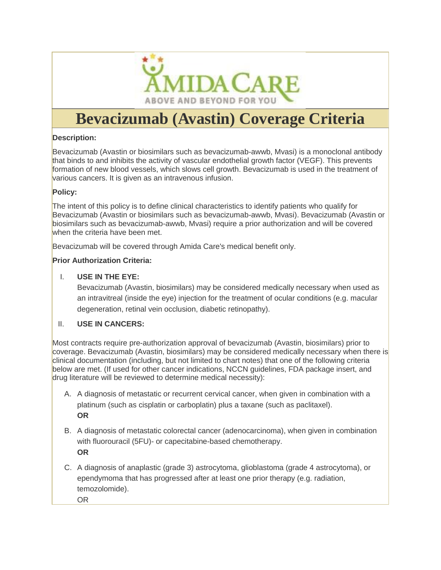

# **Bevacizumab (Avastin) Coverage Criteria**

#### **Description:**

Bevacizumab (Avastin or biosimilars such as bevacizumab-awwb, Mvasi) is a monoclonal antibody that binds to and inhibits the activity of vascular endothelial growth factor (VEGF). This prevents formation of new blood vessels, which slows cell growth. Bevacizumab is used in the treatment of various cancers. It is given as an intravenous infusion.

#### **Policy:**

The intent of this policy is to define clinical characteristics to identify patients who qualify for Bevacizumab (Avastin or biosimilars such as bevacizumab-awwb, Mvasi). Bevacizumab (Avastin or biosimilars such as bevacizumab-awwb, Mvasi) require a prior authorization and will be covered when the criteria have been met.

Bevacizumab will be covered through Amida Care's medical benefit only.

#### **Prior Authorization Criteria:**

#### I. **USE IN THE EYE:**

Bevacizumab (Avastin, biosimilars) may be considered medically necessary when used as an intravitreal (inside the eye) injection for the treatment of ocular conditions (e.g. macular degeneration, retinal vein occlusion, diabetic retinopathy).

#### II. **USE IN CANCERS:**

Most contracts require pre-authorization approval of bevacizumab (Avastin, biosimilars) prior to coverage. Bevacizumab (Avastin, biosimilars) may be considered medically necessary when there is clinical documentation (including, but not limited to chart notes) that one of the following criteria below are met. (If used for other cancer indications, NCCN guidelines, FDA package insert, and drug literature will be reviewed to determine medical necessity):

- A. A diagnosis of metastatic or recurrent cervical cancer, when given in combination with a platinum (such as cisplatin or carboplatin) plus a taxane (such as paclitaxel). **OR**
- B. A diagnosis of metastatic colorectal cancer (adenocarcinoma), when given in combination with fluorouracil (5FU)- or capecitabine-based chemotherapy. **OR**
- C. A diagnosis of anaplastic (grade 3) astrocytoma, glioblastoma (grade 4 astrocytoma), or ependymoma that has progressed after at least one prior therapy (e.g. radiation, temozolomide).
	- OR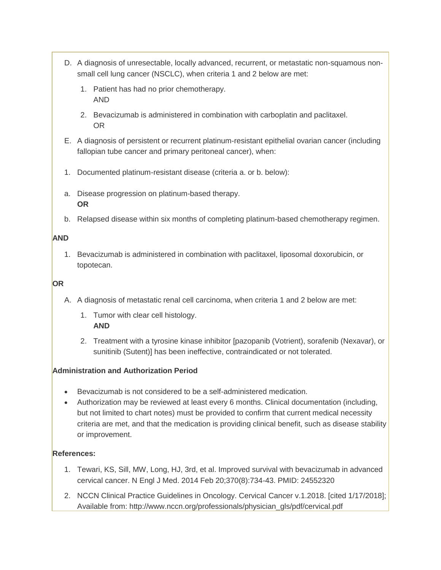- D. A diagnosis of unresectable, locally advanced, recurrent, or metastatic non-squamous nonsmall cell lung cancer (NSCLC), when criteria 1 and 2 below are met:
	- 1. Patient has had no prior chemotherapy. AND
	- 2. Bevacizumab is administered in combination with carboplatin and paclitaxel. OR
- E. A diagnosis of persistent or recurrent platinum-resistant epithelial ovarian cancer (including fallopian tube cancer and primary peritoneal cancer), when:
- 1. Documented platinum-resistant disease (criteria a. or b. below):
- a. Disease progression on platinum-based therapy. **OR**
- b. Relapsed disease within six months of completing platinum-based chemotherapy regimen.

## **AND**

1. Bevacizumab is administered in combination with paclitaxel, liposomal doxorubicin, or topotecan.

## **OR**

- A. A diagnosis of metastatic renal cell carcinoma, when criteria 1 and 2 below are met:
	- 1. Tumor with clear cell histology. **AND**
	- 2. Treatment with a tyrosine kinase inhibitor [pazopanib (Votrient), sorafenib (Nexavar), or sunitinib (Sutent)] has been ineffective, contraindicated or not tolerated.

# **Administration and Authorization Period**

- Bevacizumab is not considered to be a self-administered medication.
- Authorization may be reviewed at least every 6 months. Clinical documentation (including, but not limited to chart notes) must be provided to confirm that current medical necessity criteria are met, and that the medication is providing clinical benefit, such as disease stability or improvement.

# **References:**

- 1. Tewari, KS, Sill, MW, Long, HJ, 3rd, et al. Improved survival with bevacizumab in advanced cervical cancer. N Engl J Med. 2014 Feb 20;370(8):734-43. PMID: 24552320
- 2. NCCN Clinical Practice Guidelines in Oncology. Cervical Cancer v.1.2018. [cited 1/17/2018]; Available from: http://www.nccn.org/professionals/physician\_gls/pdf/cervical.pdf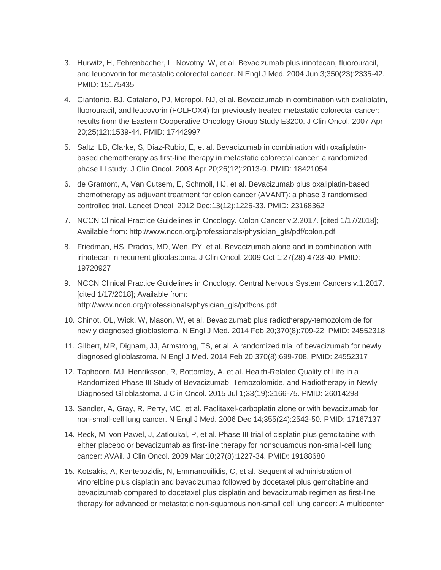- 3. Hurwitz, H, Fehrenbacher, L, Novotny, W, et al. Bevacizumab plus irinotecan, fluorouracil, and leucovorin for metastatic colorectal cancer. N Engl J Med. 2004 Jun 3;350(23):2335-42. PMID: 15175435
- 4. Giantonio, BJ, Catalano, PJ, Meropol, NJ, et al. Bevacizumab in combination with oxaliplatin, fluorouracil, and leucovorin (FOLFOX4) for previously treated metastatic colorectal cancer: results from the Eastern Cooperative Oncology Group Study E3200. J Clin Oncol. 2007 Apr 20;25(12):1539-44. PMID: 17442997
- 5. Saltz, LB, Clarke, S, Diaz-Rubio, E, et al. Bevacizumab in combination with oxaliplatinbased chemotherapy as first-line therapy in metastatic colorectal cancer: a randomized phase III study. J Clin Oncol. 2008 Apr 20;26(12):2013-9. PMID: 18421054
- 6. de Gramont, A, Van Cutsem, E, Schmoll, HJ, et al. Bevacizumab plus oxaliplatin-based chemotherapy as adjuvant treatment for colon cancer (AVANT): a phase 3 randomised controlled trial. Lancet Oncol. 2012 Dec;13(12):1225-33. PMID: 23168362
- 7. NCCN Clinical Practice Guidelines in Oncology. Colon Cancer v.2.2017. [cited 1/17/2018]; Available from: http://www.nccn.org/professionals/physician\_gls/pdf/colon.pdf
- 8. Friedman, HS, Prados, MD, Wen, PY, et al. Bevacizumab alone and in combination with irinotecan in recurrent glioblastoma. J Clin Oncol. 2009 Oct 1;27(28):4733-40. PMID: 19720927
- 9. NCCN Clinical Practice Guidelines in Oncology. Central Nervous System Cancers v.1.2017. [cited 1/17/2018]; Available from: http://www.nccn.org/professionals/physician\_gls/pdf/cns.pdf
- 10. Chinot, OL, Wick, W, Mason, W, et al. Bevacizumab plus radiotherapy-temozolomide for newly diagnosed glioblastoma. N Engl J Med. 2014 Feb 20;370(8):709-22. PMID: 24552318
- 11. Gilbert, MR, Dignam, JJ, Armstrong, TS, et al. A randomized trial of bevacizumab for newly diagnosed glioblastoma. N Engl J Med. 2014 Feb 20;370(8):699-708. PMID: 24552317
- 12. Taphoorn, MJ, Henriksson, R, Bottomley, A, et al. Health-Related Quality of Life in a Randomized Phase III Study of Bevacizumab, Temozolomide, and Radiotherapy in Newly Diagnosed Glioblastoma. J Clin Oncol. 2015 Jul 1;33(19):2166-75. PMID: 26014298
- 13. Sandler, A, Gray, R, Perry, MC, et al. Paclitaxel-carboplatin alone or with bevacizumab for non-small-cell lung cancer. N Engl J Med. 2006 Dec 14;355(24):2542-50. PMID: 17167137
- 14. Reck, M, von Pawel, J, Zatloukal, P, et al. Phase III trial of cisplatin plus gemcitabine with either placebo or bevacizumab as first-line therapy for nonsquamous non-small-cell lung cancer: AVAil. J Clin Oncol. 2009 Mar 10;27(8):1227-34. PMID: 19188680
- 15. Kotsakis, A, Kentepozidis, N, Emmanouilidis, C, et al. Sequential administration of vinorelbine plus cisplatin and bevacizumab followed by docetaxel plus gemcitabine and bevacizumab compared to docetaxel plus cisplatin and bevacizumab regimen as first-line therapy for advanced or metastatic non-squamous non-small cell lung cancer: A multicenter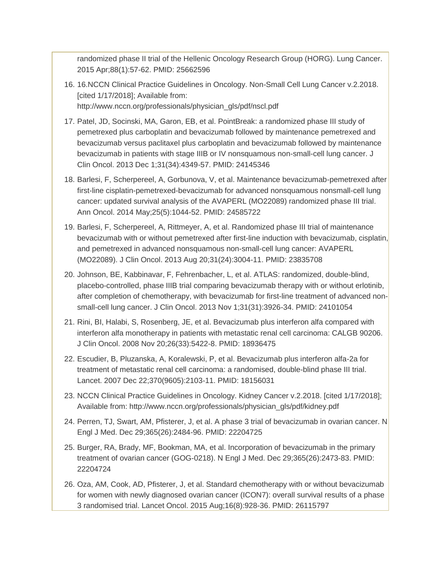randomized phase II trial of the Hellenic Oncology Research Group (HORG). Lung Cancer. 2015 Apr;88(1):57-62. PMID: 25662596

- 16. 16.NCCN Clinical Practice Guidelines in Oncology. Non-Small Cell Lung Cancer v.2.2018. [cited 1/17/2018]; Available from: http://www.nccn.org/professionals/physician\_gls/pdf/nscl.pdf
- 17. Patel, JD, Socinski, MA, Garon, EB, et al. PointBreak: a randomized phase III study of pemetrexed plus carboplatin and bevacizumab followed by maintenance pemetrexed and bevacizumab versus paclitaxel plus carboplatin and bevacizumab followed by maintenance bevacizumab in patients with stage IIIB or IV nonsquamous non-small-cell lung cancer. J Clin Oncol. 2013 Dec 1;31(34):4349-57. PMID: 24145346
- 18. Barlesi, F, Scherpereel, A, Gorbunova, V, et al. Maintenance bevacizumab-pemetrexed after first-line cisplatin-pemetrexed-bevacizumab for advanced nonsquamous nonsmall-cell lung cancer: updated survival analysis of the AVAPERL (MO22089) randomized phase III trial. Ann Oncol. 2014 May;25(5):1044-52. PMID: 24585722
- 19. Barlesi, F, Scherpereel, A, Rittmeyer, A, et al. Randomized phase III trial of maintenance bevacizumab with or without pemetrexed after first-line induction with bevacizumab, cisplatin, and pemetrexed in advanced nonsquamous non-small-cell lung cancer: AVAPERL (MO22089). J Clin Oncol. 2013 Aug 20;31(24):3004-11. PMID: 23835708
- 20. Johnson, BE, Kabbinavar, F, Fehrenbacher, L, et al. ATLAS: randomized, double-blind, placebo-controlled, phase IIIB trial comparing bevacizumab therapy with or without erlotinib, after completion of chemotherapy, with bevacizumab for first-line treatment of advanced nonsmall-cell lung cancer. J Clin Oncol. 2013 Nov 1;31(31):3926-34. PMID: 24101054
- 21. Rini, BI, Halabi, S, Rosenberg, JE, et al. Bevacizumab plus interferon alfa compared with interferon alfa monotherapy in patients with metastatic renal cell carcinoma: CALGB 90206. J Clin Oncol. 2008 Nov 20;26(33):5422-8. PMID: 18936475
- 22. Escudier, B, Pluzanska, A, Koralewski, P, et al. Bevacizumab plus interferon alfa-2a for treatment of metastatic renal cell carcinoma: a randomised, double-blind phase III trial. Lancet. 2007 Dec 22;370(9605):2103-11. PMID: 18156031
- 23. NCCN Clinical Practice Guidelines in Oncology. Kidney Cancer v.2.2018. [cited 1/17/2018]; Available from: http://www.nccn.org/professionals/physician\_gls/pdf/kidney.pdf
- 24. Perren, TJ, Swart, AM, Pfisterer, J, et al. A phase 3 trial of bevacizumab in ovarian cancer. N Engl J Med. Dec 29;365(26):2484-96. PMID: 22204725
- 25. Burger, RA, Brady, MF, Bookman, MA, et al. Incorporation of bevacizumab in the primary treatment of ovarian cancer (GOG-0218). N Engl J Med. Dec 29;365(26):2473-83. PMID: 22204724
- 26. Oza, AM, Cook, AD, Pfisterer, J, et al. Standard chemotherapy with or without bevacizumab for women with newly diagnosed ovarian cancer (ICON7): overall survival results of a phase 3 randomised trial. Lancet Oncol. 2015 Aug;16(8):928-36. PMID: 26115797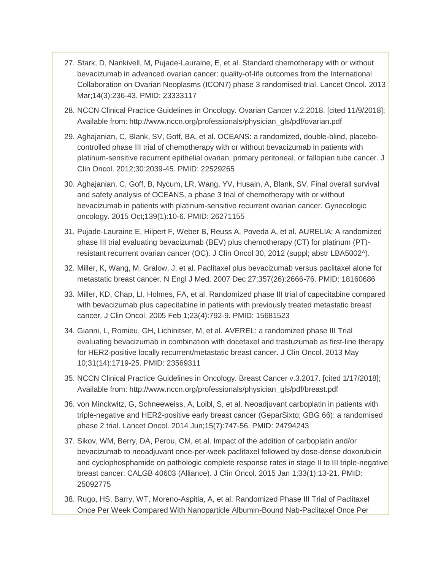- 27. Stark, D, Nankivell, M, Pujade-Lauraine, E, et al. Standard chemotherapy with or without bevacizumab in advanced ovarian cancer: quality-of-life outcomes from the International Collaboration on Ovarian Neoplasms (ICON7) phase 3 randomised trial. Lancet Oncol. 2013 Mar;14(3):236-43. PMID: 23333117
- 28. NCCN Clinical Practice Guidelines in Oncology. Ovarian Cancer v.2.2018. [cited 11/9/2018]; Available from: http://www.nccn.org/professionals/physician\_gls/pdf/ovarian.pdf
- 29. Aghajanian, C, Blank, SV, Goff, BA, et al. OCEANS: a randomized, double-blind, placebocontrolled phase III trial of chemotherapy with or without bevacizumab in patients with platinum-sensitive recurrent epithelial ovarian, primary peritoneal, or fallopian tube cancer. J Clin Oncol. 2012;30:2039-45. PMID: 22529265
- 30. Aghajanian, C, Goff, B, Nycum, LR, Wang, YV, Husain, A, Blank, SV. Final overall survival and safety analysis of OCEANS, a phase 3 trial of chemotherapy with or without bevacizumab in patients with platinum-sensitive recurrent ovarian cancer. Gynecologic oncology. 2015 Oct;139(1):10-6. PMID: 26271155
- 31. Pujade-Lauraine E, Hilpert F, Weber B, Reuss A, Poveda A, et al. AURELIA: A randomized phase III trial evaluating bevacizumab (BEV) plus chemotherapy (CT) for platinum (PT) resistant recurrent ovarian cancer (OC). J Clin Oncol 30, 2012 (suppl; abstr LBA5002^).
- 32. Miller, K, Wang, M, Gralow, J, et al. Paclitaxel plus bevacizumab versus paclitaxel alone for metastatic breast cancer. N Engl J Med. 2007 Dec 27;357(26):2666-76. PMID: 18160686
- 33. Miller, KD, Chap, LI, Holmes, FA, et al. Randomized phase III trial of capecitabine compared with bevacizumab plus capecitabine in patients with previously treated metastatic breast cancer. J Clin Oncol. 2005 Feb 1;23(4):792-9. PMID: 15681523
- 34. Gianni, L, Romieu, GH, Lichinitser, M, et al. AVEREL: a randomized phase III Trial evaluating bevacizumab in combination with docetaxel and trastuzumab as first-line therapy for HER2-positive locally recurrent/metastatic breast cancer. J Clin Oncol. 2013 May 10;31(14):1719-25. PMID: 23569311
- 35. NCCN Clinical Practice Guidelines in Oncology. Breast Cancer v.3.2017. [cited 1/17/2018]; Available from: http://www.nccn.org/professionals/physician\_gls/pdf/breast.pdf
- 36. von Minckwitz, G, Schneeweiss, A, Loibl, S, et al. Neoadjuvant carboplatin in patients with triple-negative and HER2-positive early breast cancer (GeparSixto; GBG 66): a randomised phase 2 trial. Lancet Oncol. 2014 Jun;15(7):747-56. PMID: 24794243
- 37. Sikov, WM, Berry, DA, Perou, CM, et al. Impact of the addition of carboplatin and/or bevacizumab to neoadjuvant once-per-week paclitaxel followed by dose-dense doxorubicin and cyclophosphamide on pathologic complete response rates in stage II to III triple-negative breast cancer: CALGB 40603 (Alliance). J Clin Oncol. 2015 Jan 1;33(1):13-21. PMID: 25092775
- 38. Rugo, HS, Barry, WT, Moreno-Aspitia, A, et al. Randomized Phase III Trial of Paclitaxel Once Per Week Compared With Nanoparticle Albumin-Bound Nab-Paclitaxel Once Per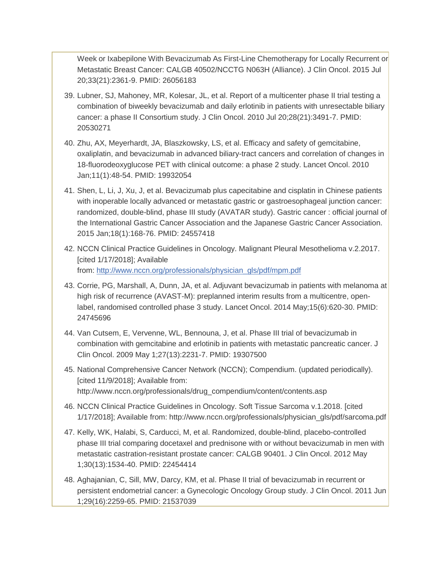Week or Ixabepilone With Bevacizumab As First-Line Chemotherapy for Locally Recurrent or Metastatic Breast Cancer: CALGB 40502/NCCTG N063H (Alliance). J Clin Oncol. 2015 Jul 20;33(21):2361-9. PMID: 26056183

- 39. Lubner, SJ, Mahoney, MR, Kolesar, JL, et al. Report of a multicenter phase II trial testing a combination of biweekly bevacizumab and daily erlotinib in patients with unresectable biliary cancer: a phase II Consortium study. J Clin Oncol. 2010 Jul 20;28(21):3491-7. PMID: 20530271
- 40. Zhu, AX, Meyerhardt, JA, Blaszkowsky, LS, et al. Efficacy and safety of gemcitabine, oxaliplatin, and bevacizumab in advanced biliary-tract cancers and correlation of changes in 18-fluorodeoxyglucose PET with clinical outcome: a phase 2 study. Lancet Oncol. 2010 Jan;11(1):48-54. PMID: 19932054
- 41. Shen, L, Li, J, Xu, J, et al. Bevacizumab plus capecitabine and cisplatin in Chinese patients with inoperable locally advanced or metastatic gastric or gastroesophageal junction cancer: randomized, double-blind, phase III study (AVATAR study). Gastric cancer : official journal of the International Gastric Cancer Association and the Japanese Gastric Cancer Association. 2015 Jan;18(1):168-76. PMID: 24557418
- 42. NCCN Clinical Practice Guidelines in Oncology. Malignant Pleural Mesothelioma v.2.2017. [cited 1/17/2018]; Available from: [http://www.nccn.org/professionals/physician\\_gls/pdf/mpm.pdf](http://www.nccn.org/professionals/physician_gls/pdf/mpm.pdf)
- 43. Corrie, PG, Marshall, A, Dunn, JA, et al. Adjuvant bevacizumab in patients with melanoma at high risk of recurrence (AVAST-M): preplanned interim results from a multicentre, openlabel, randomised controlled phase 3 study. Lancet Oncol. 2014 May;15(6):620-30. PMID: 24745696
- 44. Van Cutsem, E, Vervenne, WL, Bennouna, J, et al. Phase III trial of bevacizumab in combination with gemcitabine and erlotinib in patients with metastatic pancreatic cancer. J Clin Oncol. 2009 May 1;27(13):2231-7. PMID: 19307500
- 45. National Comprehensive Cancer Network (NCCN); Compendium. (updated periodically). [cited 11/9/2018]; Available from: http://www.nccn.org/professionals/drug\_compendium/content/contents.asp
- 46. NCCN Clinical Practice Guidelines in Oncology. Soft Tissue Sarcoma v.1.2018. [cited 1/17/2018]; Available from: http://www.nccn.org/professionals/physician\_gls/pdf/sarcoma.pdf
- 47. Kelly, WK, Halabi, S, Carducci, M, et al. Randomized, double-blind, placebo-controlled phase III trial comparing docetaxel and prednisone with or without bevacizumab in men with metastatic castration-resistant prostate cancer: CALGB 90401. J Clin Oncol. 2012 May 1;30(13):1534-40. PMID: 22454414
- 48. Aghajanian, C, Sill, MW, Darcy, KM, et al. Phase II trial of bevacizumab in recurrent or persistent endometrial cancer: a Gynecologic Oncology Group study. J Clin Oncol. 2011 Jun 1;29(16):2259-65. PMID: 21537039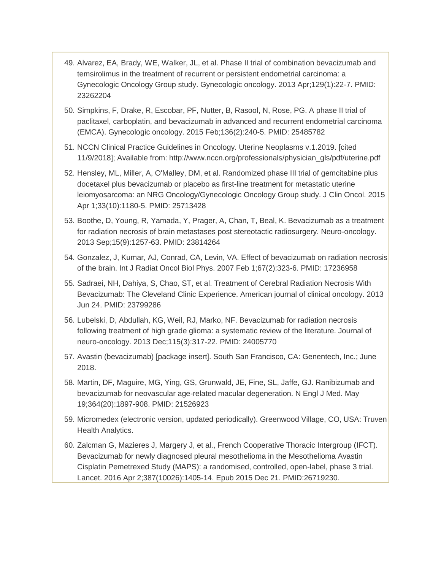- 49. Alvarez, EA, Brady, WE, Walker, JL, et al. Phase II trial of combination bevacizumab and temsirolimus in the treatment of recurrent or persistent endometrial carcinoma: a Gynecologic Oncology Group study. Gynecologic oncology. 2013 Apr;129(1):22-7. PMID: 23262204
- 50. Simpkins, F, Drake, R, Escobar, PF, Nutter, B, Rasool, N, Rose, PG. A phase II trial of paclitaxel, carboplatin, and bevacizumab in advanced and recurrent endometrial carcinoma (EMCA). Gynecologic oncology. 2015 Feb;136(2):240-5. PMID: 25485782
- 51. NCCN Clinical Practice Guidelines in Oncology. Uterine Neoplasms v.1.2019. [cited 11/9/2018]; Available from: http://www.nccn.org/professionals/physician\_gls/pdf/uterine.pdf
- 52. Hensley, ML, Miller, A, O'Malley, DM, et al. Randomized phase III trial of gemcitabine plus docetaxel plus bevacizumab or placebo as first-line treatment for metastatic uterine leiomyosarcoma: an NRG Oncology/Gynecologic Oncology Group study. J Clin Oncol. 2015 Apr 1;33(10):1180-5. PMID: 25713428
- 53. Boothe, D, Young, R, Yamada, Y, Prager, A, Chan, T, Beal, K. Bevacizumab as a treatment for radiation necrosis of brain metastases post stereotactic radiosurgery. Neuro-oncology. 2013 Sep;15(9):1257-63. PMID: 23814264
- 54. Gonzalez, J, Kumar, AJ, Conrad, CA, Levin, VA. Effect of bevacizumab on radiation necrosis of the brain. Int J Radiat Oncol Biol Phys. 2007 Feb 1;67(2):323-6. PMID: 17236958
- 55. Sadraei, NH, Dahiya, S, Chao, ST, et al. Treatment of Cerebral Radiation Necrosis With Bevacizumab: The Cleveland Clinic Experience. American journal of clinical oncology. 2013 Jun 24. PMID: 23799286
- 56. Lubelski, D, Abdullah, KG, Weil, RJ, Marko, NF. Bevacizumab for radiation necrosis following treatment of high grade glioma: a systematic review of the literature. Journal of neuro-oncology. 2013 Dec;115(3):317-22. PMID: 24005770
- 57. Avastin (bevacizumab) [package insert]. South San Francisco, CA: Genentech, Inc.; June 2018.
- 58. Martin, DF, Maguire, MG, Ying, GS, Grunwald, JE, Fine, SL, Jaffe, GJ. Ranibizumab and bevacizumab for neovascular age-related macular degeneration. N Engl J Med. May 19;364(20):1897-908. PMID: 21526923
- 59. Micromedex (electronic version, updated periodically). Greenwood Village, CO, USA: Truven Health Analytics.
- 60. Zalcman G, Mazieres J, Margery J, et al., French Cooperative Thoracic Intergroup (IFCT). Bevacizumab for newly diagnosed pleural mesothelioma in the Mesothelioma Avastin Cisplatin Pemetrexed Study (MAPS): a randomised, controlled, open-label, phase 3 trial. Lancet. 2016 Apr 2;387(10026):1405-14. Epub 2015 Dec 21. PMID:26719230.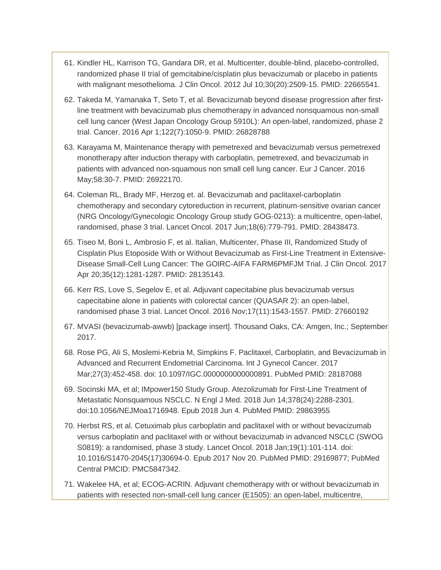- 61. Kindler HL, Karrison TG, Gandara DR, et al. Multicenter, double-blind, placebo-controlled, randomized phase II trial of gemcitabine/cisplatin plus bevacizumab or placebo in patients with malignant mesothelioma. J Clin Oncol. 2012 Jul 10;30(20):2509-15. PMID: 22665541.
- 62. Takeda M, Yamanaka T, Seto T, et al. Bevacizumab beyond disease progression after firstline treatment with bevacizumab plus chemotherapy in advanced nonsquamous non-small cell lung cancer (West Japan Oncology Group 5910L): An open-label, randomized, phase 2 trial. Cancer. 2016 Apr 1;122(7):1050-9. PMID: 26828788
- 63. Karayama M, Maintenance therapy with pemetrexed and bevacizumab versus pemetrexed monotherapy after induction therapy with carboplatin, pemetrexed, and bevacizumab in patients with advanced non-squamous non small cell lung cancer. Eur J Cancer. 2016 May;58:30-7. PMID: 26922170.
- 64. Coleman RL, Brady MF, Herzog et. al. Bevacizumab and paclitaxel-carboplatin chemotherapy and secondary cytoreduction in recurrent, platinum-sensitive ovarian cancer (NRG Oncology/Gynecologic Oncology Group study GOG-0213): a multicentre, open-label, randomised, phase 3 trial. Lancet Oncol. 2017 Jun;18(6):779-791. PMID: 28438473.
- 65. Tiseo M, Boni L, Ambrosio F, et al. Italian, Multicenter, Phase III, Randomized Study of Cisplatin Plus Etoposide With or Without Bevacizumab as First-Line Treatment in Extensive-Disease Small-Cell Lung Cancer: The GOIRC-AIFA FARM6PMFJM Trial. J Clin Oncol. 2017 Apr 20;35(12):1281-1287. PMID: 28135143.
- 66. Kerr RS, Love S, Segelov E, et al. Adjuvant capecitabine plus bevacizumab versus capecitabine alone in patients with colorectal cancer (QUASAR 2): an open-label, randomised phase 3 trial. Lancet Oncol. 2016 Nov;17(11):1543-1557. PMID: 27660192
- 67. MVASI (bevacizumab-awwb) [package insert]. Thousand Oaks, CA: Amgen, Inc.; September 2017.
- 68. Rose PG, Ali S, Moslemi-Kebria M, Simpkins F. Paclitaxel, Carboplatin, and Bevacizumab in Advanced and Recurrent Endometrial Carcinoma. Int J Gynecol Cancer. 2017 Mar;27(3):452-458. doi: 10.1097/IGC.0000000000000891. PubMed PMID: 28187088
- 69. Socinski MA, et al; IMpower150 Study Group. Atezolizumab for First-Line Treatment of Metastatic Nonsquamous NSCLC. N Engl J Med. 2018 Jun 14;378(24):2288-2301. doi:10.1056/NEJMoa1716948. Epub 2018 Jun 4. PubMed PMID: 29863955
- 70. Herbst RS, et al. Cetuximab plus carboplatin and paclitaxel with or without bevacizumab versus carboplatin and paclitaxel with or without bevacizumab in advanced NSCLC (SWOG S0819): a randomised, phase 3 study. Lancet Oncol. 2018 Jan;19(1):101-114. doi: 10.1016/S1470-2045(17)30694-0. Epub 2017 Nov 20. PubMed PMID: 29169877; PubMed Central PMCID: PMC5847342.
- 71. Wakelee HA, et al; ECOG-ACRIN. Adjuvant chemotherapy with or without bevacizumab in patients with resected non-small-cell lung cancer (E1505): an open-label, multicentre,